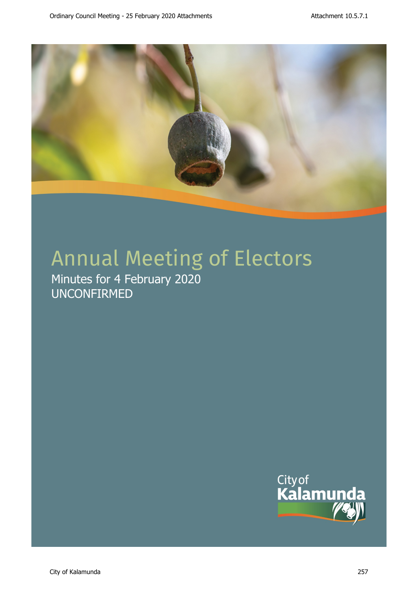

# Annual Meeting of Electors

Minutes for 4 February 2020 UNCONFIRMED

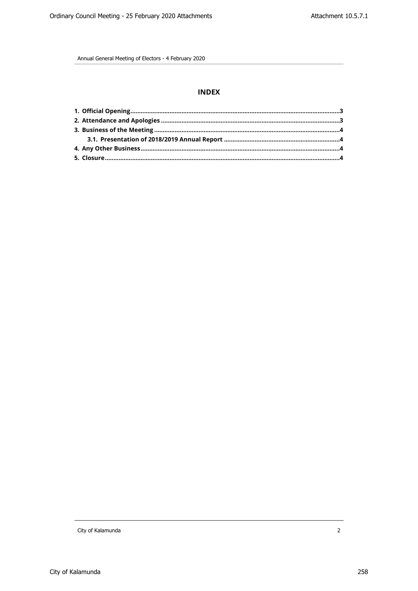# **INDEX**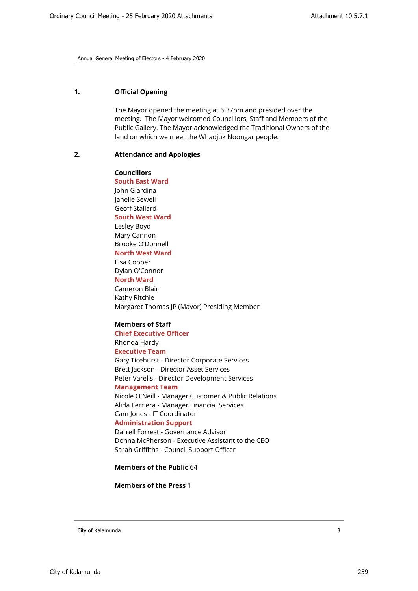# <span id="page-2-0"></span>**1. Official Opening**

The Mayor opened the meeting at 6:37pm and presided over the meeting. The Mayor welcomed Councillors, Staff and Members of the Public Gallery. The Mayor acknowledged the Traditional Owners of the land on which we meet the Whadjuk Noongar people.

#### <span id="page-2-1"></span>**2. Attendance and Apologies**

**Councillors South East Ward**  John Giardina Janelle Sewell Geoff Stallard **South West Ward** Lesley Boyd Mary Cannon Brooke O'Donnell **North West Ward** Lisa Cooper Dylan O'Connor **North Ward** Cameron Blair Kathy Ritchie Margaret Thomas JP (Mayor) Presiding Member

## **Members of Staff**

## **Chief Executive Officer** Rhonda Hardy

# **Executive Team**

Gary Ticehurst - Director Corporate Services Brett Jackson - Director Asset Services Peter Varelis - Director Development Services

#### **Management Team**

Nicole O'Neill - Manager Customer & Public Relations Alida Ferriera - Manager Financial Services Cam Jones - IT Coordinator

#### **Administration Support**

Darrell Forrest - Governance Advisor Donna McPherson - Executive Assistant to the CEO Sarah Griffiths - Council Support Officer

#### **Members of the Public** 64

**Members of the Press** 1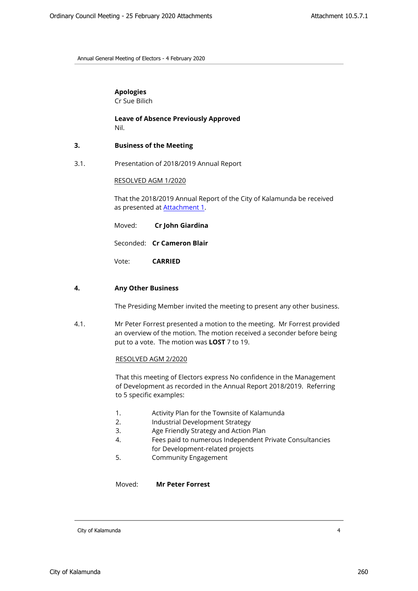# **Apologies**

Cr Sue Bilich

**Leave of Absence Previously Approved** Nil.

## <span id="page-3-1"></span><span id="page-3-0"></span>**3. Business of the Meeting**

3.1. Presentation of 2018/2019 Annual Report

#### RESOLVED AGM 1/2020

That the 2018/2019 Annual Report of the City of Kalamunda be received as presented at **[Attachment 1](http://www.kalamunda.wa.gov.au/files/cdfe3adf-5510-48a1-addc-a9de00a0427d/Annual-Report-2018.pdf)**.

- Moved: **Cr John Giardina**
- Seconded: **Cr Cameron Blair**

Vote: **CARRIED**

#### <span id="page-3-2"></span>**4. Any Other Business**

The Presiding Member invited the meeting to present any other business.

4.1. Mr Peter Forrest presented a motion to the meeting. Mr Forrest provided an overview of the motion. The motion received a seconder before being put to a vote. The motion was **LOST** 7 to 19.

# RESOLVED AGM 2/2020

That this meeting of Electors express No confidence in the Management of Development as recorded in the Annual Report 2018/2019. Referring to 5 specific examples:

- 1. Activity Plan for the Townsite of Kalamunda
- 2. Industrial Development Strategy
- 3. Age Friendly Strategy and Action Plan
- 4. Fees paid to numerous Independent Private Consultancies for Development-related projects
- 5. Community Engagement

Moved: **Mr Peter Forrest**